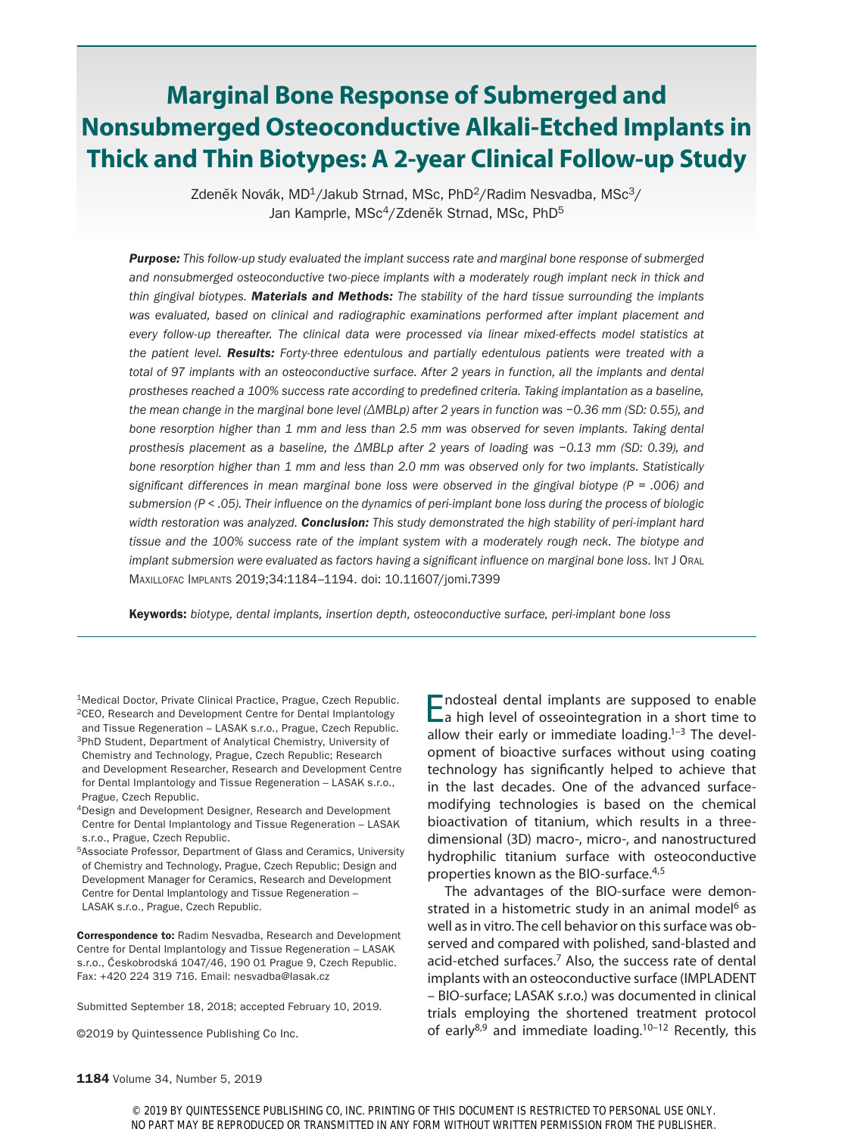# **Marginal Bone Response of Submerged and Nonsubmerged Osteoconductive Alkali-Etched Implants in Thick and Thin Biotypes: A 2-year Clinical Follow-up Study**

Zdeněk Novák, MD<sup>1</sup>/Jakub Strnad, MSc, PhD<sup>2</sup>/Radim Nesvadba, MSc<sup>3</sup>/ Jan Kamprle, MSc<sup>4</sup>/Zdeněk Strnad, MSc, PhD<sup>5</sup>

*Purpose: This follow-up study evaluated the implant success rate and marginal bone response of submerged*  and nonsubmerged osteoconductive two-piece implants with a moderately rough implant neck in thick and *thin gingival biotypes. Materials and Methods: The stability of the hard tissue surrounding the implants*  was evaluated, based on clinical and radiographic examinations performed after implant placement and *every follow-up thereafter. The clinical data were processed via linear mixed-effects model statistics at the patient level. Results: Forty-three edentulous and partially edentulous patients were treated with a*  total of 97 implants with an osteoconductive surface. After 2 years in function, all the implants and dental *prostheses reached a 100% success rate according to predefined criteria. Taking implantation as a baseline, the mean change in the marginal bone level (ΔMBLp) after 2 years in function was −0.36 mm (SD: 0.55), and bone resorption higher than 1 mm and less than 2.5 mm was observed for seven implants. Taking dental prosthesis placement as a baseline, the ΔMBLp after 2 years of loading was −0.13 mm (SD: 0.39), and bone resorption higher than 1 mm and less than 2.0 mm was observed only for two implants. Statistically significant differences in mean marginal bone loss were observed in the gingival biotype (P = .006) and submersion (P < .05). Their influence on the dynamics of peri-implant bone loss during the process of biologic width restoration was analyzed. Conclusion: This study demonstrated the high stability of peri-implant hard*  tissue and the 100% success rate of the implant system with a moderately rough neck. The biotype and *implant submersion were evaluated as factors having a significant influence on marginal bone loss.* INT J ORAL Maxillofac Implants 2019;34:1184–1194. doi: 10.11607/jomi.7399

Keywords: *biotype, dental implants, insertion depth, osteoconductive surface, peri-implant bone loss*

<sup>1</sup>Medical Doctor, Private Clinical Practice, Prague, Czech Republic. 2CEO, Research and Development Centre for Dental Implantology

and Tissue Regeneration – LASAK s.r.o., Prague, Czech Republic. 3PhD Student, Department of Analytical Chemistry, University of Chemistry and Technology, Prague, Czech Republic; Research and Development Researcher, Research and Development Centre for Dental Implantology and Tissue Regeneration – LASAK s.r.o., Prague, Czech Republic.

4Design and Development Designer, Research and Development Centre for Dental Implantology and Tissue Regeneration – LASAK s.r.o., Prague, Czech Republic.

5Associate Professor, Department of Glass and Ceramics, University of Chemistry and Technology, Prague, Czech Republic; Design and Development Manager for Ceramics, Research and Development Centre for Dental Implantology and Tissue Regeneration – LASAK s.r.o., Prague, Czech Republic.

Correspondence to: Radim Nesvadba, Research and Development Centre for Dental Implantology and Tissue Regeneration – LASAK s.r.o., Českobrodská 1047/46, 190 01 Prague 9, Czech Republic. Fax: +420 224 319 716. Email: nesvadba@lasak.cz

Submitted September 18, 2018; accepted February 10, 2019.

©2019 by Quintessence Publishing Co Inc.

Endosteal dental implants are supposed to enable<br>
a high level of osseointegration in a short time to allow their early or immediate loading. $1-3$  The development of bioactive surfaces without using coating technology has significantly helped to achieve that in the last decades. One of the advanced surfacemodifying technologies is based on the chemical bioactivation of titanium, which results in a threedimensional (3D) macro-, micro-, and nanostructured hydrophilic titanium surface with osteoconductive properties known as the BIO-surface.4,5

The advantages of the BIO-surface were demonstrated in a histometric study in an animal model<sup>6</sup> as well as in vitro. The cell behavior on this surface was observed and compared with polished, sand-blasted and acid-etched surfaces.7 Also, the success rate of dental implants with an osteoconductive surface (IMPLADENT – BIO-surface; LASAK s.r.o.) was documented in clinical trials employing the shortened treatment protocol of early $8,9$  and immediate loading.<sup>10-12</sup> Recently, this

© 2019 BY QUINTESSENCE PUBLISHING CO, INC. PRINTING OF THIS DOCUMENT IS RESTRICTED TO PERSONAL USE ONLY. NO PART MAY BE REPRODUCED OR TRANSMITTED IN ANY FORM WITHOUT WRITTEN PERMISSION FROM THE PUBLISHER.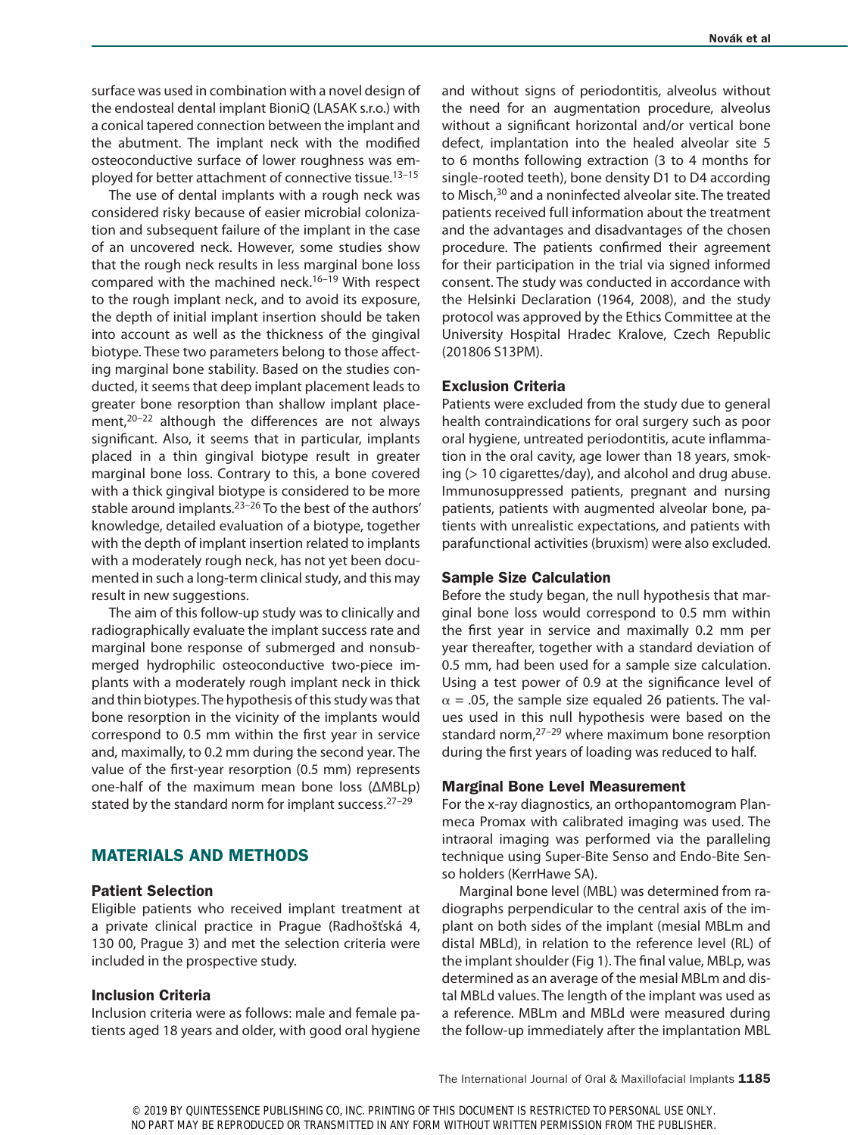surface was used in combination with a novel design of the endosteal dental implant BioniQ (LASAK s.r.o.) with a conical tapered connection between the implant and the abutment. The implant neck with the modified osteoconductive surface of lower roughness was employed for better attachment of connective tissue.<sup>13-15</sup>

The use of dental implants with a rough neck was considered risky because of easier microbial colonization and subsequent failure of the implant in the case of an uncovered neck. However, some studies show that the rough neck results in less marginal bone loss compared with the machined neck.<sup>16-19</sup> With respect to the rough implant neck, and to avoid its exposure, the depth of initial implant insertion should be taken into account as well as the thickness of the gingival biotype. These two parameters belong to those affecting marginal bone stability. Based on the studies conducted, it seems that deep implant placement leads to greater bone resorption than shallow implant placement, $20-22$  although the differences are not always significant. Also, it seems that in particular, implants placed in a thin gingival biotype result in greater marginal bone loss. Contrary to this, a bone covered with a thick gingival biotype is considered to be more stable around implants.<sup>23-26</sup> To the best of the authors' knowledge, detailed evaluation of a biotype, together with the depth of implant insertion related to implants with a moderately rough neck, has not yet been documented in such a long-term clinical study, and this may result in new suggestions.

The aim of this follow-up study was to clinically and radiographically evaluate the implant success rate and marginal bone response of submerged and nonsubmerged hydrophilic osteoconductive two-piece implants with a moderately rough implant neck in thick and thin biotypes. The hypothesis of this study was that bone resorption in the vicinity of the implants would correspond to 0.5 mm within the first year in service and, maximally, to 0.2 mm during the second year. The value of the first-year resorption (0.5 mm) represents one-half of the maximum mean bone loss (ΔMBLp) stated by the standard norm for implant success.27–29

# MATERIALS AND METHODS

#### Patient Selection

Eligible patients who received implant treatment at a private clinical practice in Prague (Radhošťská 4, 130 00, Prague 3) and met the selection criteria were included in the prospective study.

## Inclusion Criteria

Inclusion criteria were as follows: male and female patients aged 18 years and older, with good oral hygiene and without signs of periodontitis, alveolus without the need for an augmentation procedure, alveolus without a significant horizontal and/or vertical bone defect, implantation into the healed alveolar site 5 to 6 months following extraction (3 to 4 months for single-rooted teeth), bone density D1 to D4 according to Misch,<sup>30</sup> and a noninfected alveolar site. The treated patients received full information about the treatment and the advantages and disadvantages of the chosen procedure. The patients confirmed their agreement for their participation in the trial via signed informed consent. The study was conducted in accordance with the Helsinki Declaration (1964, 2008), and the study protocol was approved by the Ethics Committee at the University Hospital Hradec Kralove, Czech Republic (201806 S13PM).

## Exclusion Criteria

Patients were excluded from the study due to general health contraindications for oral surgery such as poor oral hygiene, untreated periodontitis, acute inflammation in the oral cavity, age lower than 18 years, smoking (> 10 cigarettes/day), and alcohol and drug abuse. Immunosuppressed patients, pregnant and nursing patients, patients with augmented alveolar bone, patients with unrealistic expectations, and patients with parafunctional activities (bruxism) were also excluded.

#### Sample Size Calculation

Before the study began, the null hypothesis that marginal bone loss would correspond to 0.5 mm within the first year in service and maximally 0.2 mm per year thereafter, together with a standard deviation of 0.5 mm, had been used for a sample size calculation. Using a test power of 0.9 at the significance level of  $\alpha$  = .05, the sample size equaled 26 patients. The values used in this null hypothesis were based on the standard norm,27–29 where maximum bone resorption during the first years of loading was reduced to half.

#### Marginal Bone Level Measurement

For the x-ray diagnostics, an orthopantomogram Planmeca Promax with calibrated imaging was used. The intraoral imaging was performed via the paralleling technique using Super-Bite Senso and Endo-Bite Senso holders (KerrHawe SA).

Marginal bone level (MBL) was determined from radiographs perpendicular to the central axis of the implant on both sides of the implant (mesial MBLm and distal MBLd), in relation to the reference level (RL) of the implant shoulder (Fig 1). The final value, MBLp, was determined as an average of the mesial MBLm and distal MBLd values. The length of the implant was used as a reference. MBLm and MBLd were measured during the follow-up immediately after the implantation MBL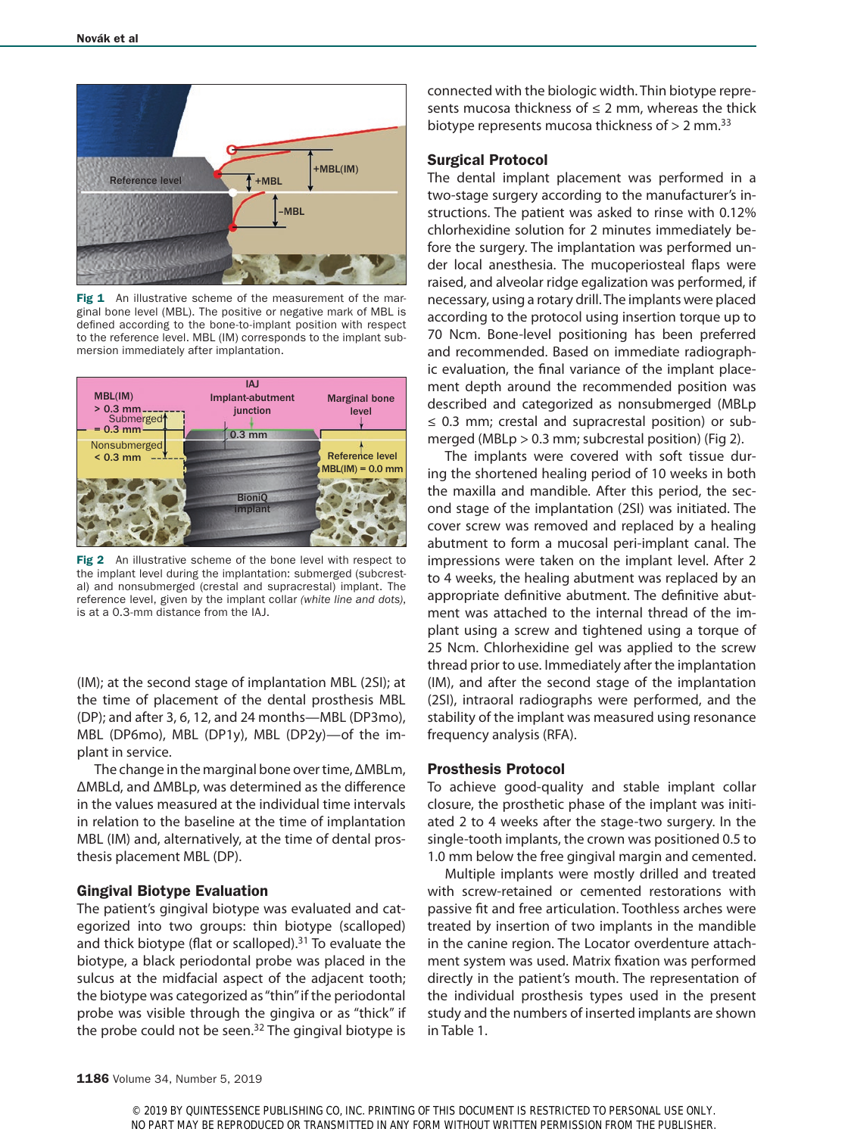

Fig 1 An illustrative scheme of the measurement of the marginal bone level (MBL). The positive or negative mark of MBL is defined according to the bone-to-implant position with respect to the reference level. MBL (IM) corresponds to the implant submersion immediately after implantation.



Fig 2 An illustrative scheme of the bone level with respect to the implant level during the implantation: submerged (subcrestal) and nonsubmerged (crestal and supracrestal) implant. The reference level, given by the implant collar *(white line and dots)*, is at a 0.3-mm distance from the IAJ.

(IM); at the second stage of implantation MBL (2SI); at the time of placement of the dental prosthesis MBL (DP); and after 3, 6, 12, and 24 months—MBL (DP3mo), MBL (DP6mo), MBL (DP1y), MBL (DP2y)—of the implant in service.

The change in the marginal bone over time, ΔMBLm, ΔMBLd, and ΔMBLp, was determined as the difference in the values measured at the individual time intervals in relation to the baseline at the time of implantation MBL (IM) and, alternatively, at the time of dental prosthesis placement MBL (DP).

#### Gingival Biotype Evaluation

The patient's gingival biotype was evaluated and categorized into two groups: thin biotype (scalloped) and thick biotype (flat or scalloped). $31$  To evaluate the biotype, a black periodontal probe was placed in the sulcus at the midfacial aspect of the adjacent tooth; the biotype was categorized as "thin" if the periodontal probe was visible through the gingiva or as "thick" if the probe could not be seen. $32$  The gingival biotype is connected with the biologic width. Thin biotype represents mucosa thickness of  $\leq 2$  mm, whereas the thick biotype represents mucosa thickness of  $> 2$  mm.<sup>33</sup>

#### Surgical Protocol

The dental implant placement was performed in a two-stage surgery according to the manufacturer's instructions. The patient was asked to rinse with 0.12% chlorhexidine solution for 2 minutes immediately before the surgery. The implantation was performed under local anesthesia. The mucoperiosteal flaps were raised, and alveolar ridge egalization was performed, if necessary, using a rotary drill. The implants were placed according to the protocol using insertion torque up to 70 Ncm. Bone-level positioning has been preferred and recommended. Based on immediate radiographic evaluation, the final variance of the implant placement depth around the recommended position was described and categorized as nonsubmerged (MBLp ≤ 0.3 mm; crestal and supracrestal position) or submerged (MBLp > 0.3 mm; subcrestal position) (Fig 2).

The implants were covered with soft tissue during the shortened healing period of 10 weeks in both the maxilla and mandible. After this period, the second stage of the implantation (2SI) was initiated. The cover screw was removed and replaced by a healing abutment to form a mucosal peri-implant canal. The impressions were taken on the implant level. After 2 to 4 weeks, the healing abutment was replaced by an appropriate definitive abutment. The definitive abutment was attached to the internal thread of the implant using a screw and tightened using a torque of 25 Ncm. Chlorhexidine gel was applied to the screw thread prior to use. Immediately after the implantation (IM), and after the second stage of the implantation (2SI), intraoral radiographs were performed, and the stability of the implant was measured using resonance frequency analysis (RFA).

#### Prosthesis Protocol

To achieve good-quality and stable implant collar closure, the prosthetic phase of the implant was initiated 2 to 4 weeks after the stage-two surgery. In the single-tooth implants, the crown was positioned 0.5 to 1.0 mm below the free gingival margin and cemented.

Multiple implants were mostly drilled and treated with screw-retained or cemented restorations with passive fit and free articulation. Toothless arches were treated by insertion of two implants in the mandible in the canine region. The Locator overdenture attachment system was used. Matrix fixation was performed directly in the patient's mouth. The representation of the individual prosthesis types used in the present study and the numbers of inserted implants are shown in Table 1.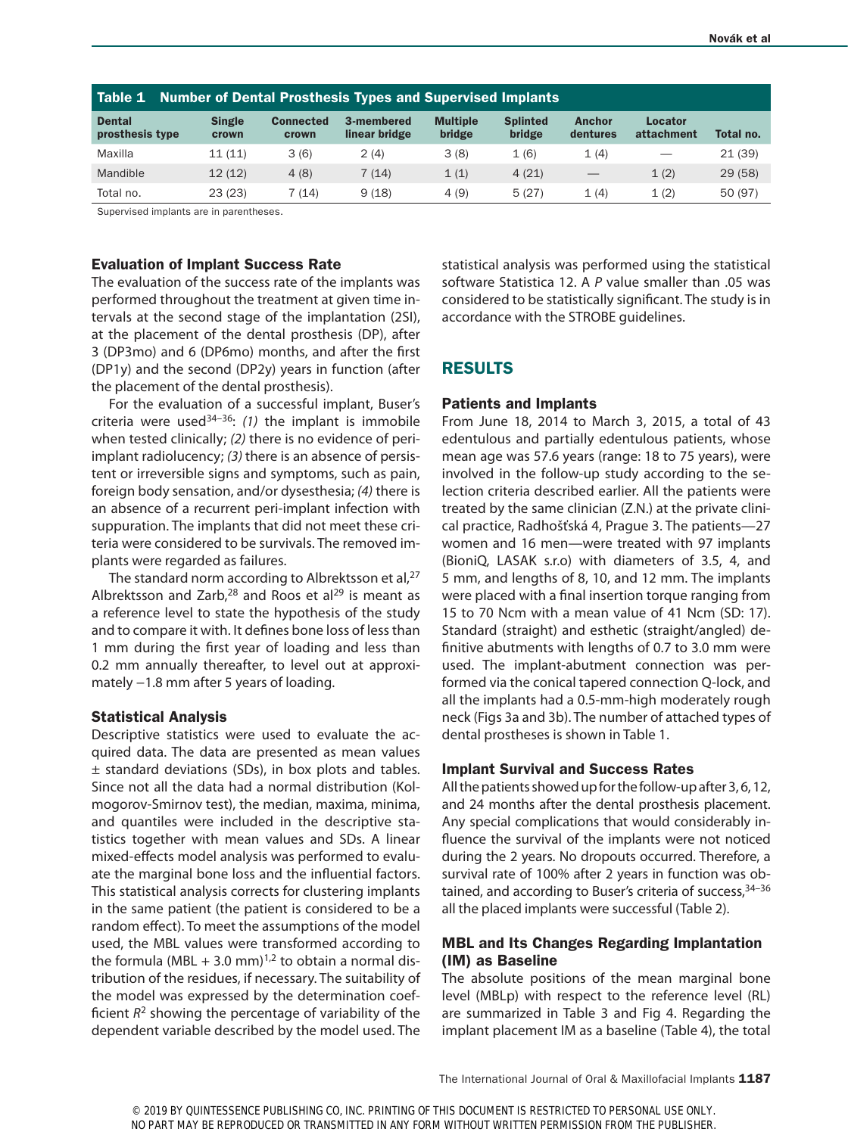| Table 1 Number of Dental Prosthesis Types and Supervised Implants |                        |                           |                             |                           |                           |                           |                       |           |
|-------------------------------------------------------------------|------------------------|---------------------------|-----------------------------|---------------------------|---------------------------|---------------------------|-----------------------|-----------|
| <b>Dental</b><br>prosthesis type                                  | <b>Single</b><br>crown | <b>Connected</b><br>crown | 3-membered<br>linear bridge | <b>Multiple</b><br>bridge | <b>Splinted</b><br>bridge | <b>Anchor</b><br>dentures | Locator<br>attachment | Total no. |
| Maxilla                                                           | 11(11)                 | 3(6)                      | 2(4)                        | 3(8)                      | 1(6)                      | 1(4)                      |                       | 21(39)    |
| Mandible                                                          | 12(12)                 | 4(8)                      | 7(14)                       | 1(1)                      | 4(21)                     |                           | 1(2)                  | 29(58)    |
| Total no.                                                         | 23(23)                 | 7 (14)                    | 9(18)                       | 4(9)                      | 5(27)                     | 1(4)                      | 1(2)                  | 50 (97)   |

Supervised implants are in parentheses.

#### Evaluation of Implant Success Rate

The evaluation of the success rate of the implants was performed throughout the treatment at given time intervals at the second stage of the implantation (2SI), at the placement of the dental prosthesis (DP), after 3 (DP3mo) and 6 (DP6mo) months, and after the first (DP1y) and the second (DP2y) years in function (after the placement of the dental prosthesis).

For the evaluation of a successful implant, Buser's criteria were used34–36: *(1)* the implant is immobile when tested clinically; *(2)* there is no evidence of periimplant radiolucency; *(3)* there is an absence of persistent or irreversible signs and symptoms, such as pain, foreign body sensation, and/or dysesthesia; *(4)* there is an absence of a recurrent peri-implant infection with suppuration. The implants that did not meet these criteria were considered to be survivals. The removed implants were regarded as failures.

The standard norm according to Albrektsson et al,  $27$ Albrektsson and Zarb,<sup>28</sup> and Roos et al<sup>29</sup> is meant as a reference level to state the hypothesis of the study and to compare it with. It defines bone loss of less than 1 mm during the first year of loading and less than 0.2 mm annually thereafter, to level out at approximately −1.8 mm after 5 years of loading.

#### Statistical Analysis

Descriptive statistics were used to evaluate the acquired data. The data are presented as mean values ± standard deviations (SDs), in box plots and tables. Since not all the data had a normal distribution (Kolmogorov-Smirnov test), the median, maxima, minima, and quantiles were included in the descriptive statistics together with mean values and SDs. A linear mixed-effects model analysis was performed to evaluate the marginal bone loss and the influential factors. This statistical analysis corrects for clustering implants in the same patient (the patient is considered to be a random effect). To meet the assumptions of the model used, the MBL values were transformed according to the formula (MBL + 3.0 mm)<sup>1,2</sup> to obtain a normal distribution of the residues, if necessary. The suitability of the model was expressed by the determination coefficient  $R^2$  showing the percentage of variability of the dependent variable described by the model used. The statistical analysis was performed using the statistical software Statistica 12. A *P* value smaller than .05 was considered to be statistically significant. The study is in accordance with the STROBE guidelines.

# RESULTS

#### Patients and Implants

From June 18, 2014 to March 3, 2015, a total of 43 edentulous and partially edentulous patients, whose mean age was 57.6 years (range: 18 to 75 years), were involved in the follow-up study according to the selection criteria described earlier. All the patients were treated by the same clinician (Z.N.) at the private clinical practice, Radhošťská 4, Prague 3. The patients—27 women and 16 men—were treated with 97 implants (BioniQ, LASAK s.r.o) with diameters of 3.5, 4, and 5 mm, and lengths of 8, 10, and 12 mm. The implants were placed with a final insertion torque ranging from 15 to 70 Ncm with a mean value of 41 Ncm (SD: 17). Standard (straight) and esthetic (straight/angled) definitive abutments with lengths of 0.7 to 3.0 mm were used. The implant-abutment connection was performed via the conical tapered connection Q-lock, and all the implants had a 0.5-mm-high moderately rough neck (Figs 3a and 3b). The number of attached types of dental prostheses is shown in Table 1.

#### Implant Survival and Success Rates

All the patients showed up for the follow-up after 3, 6, 12, and 24 months after the dental prosthesis placement. Any special complications that would considerably influence the survival of the implants were not noticed during the 2 years. No dropouts occurred. Therefore, a survival rate of 100% after 2 years in function was obtained, and according to Buser's criteria of success, 34-36 all the placed implants were successful (Table 2).

## MBL and Its Changes Regarding Implantation (IM) as Baseline

The absolute positions of the mean marginal bone level (MBLp) with respect to the reference level (RL) are summarized in Table 3 and Fig 4. Regarding the implant placement IM as a baseline (Table 4), the total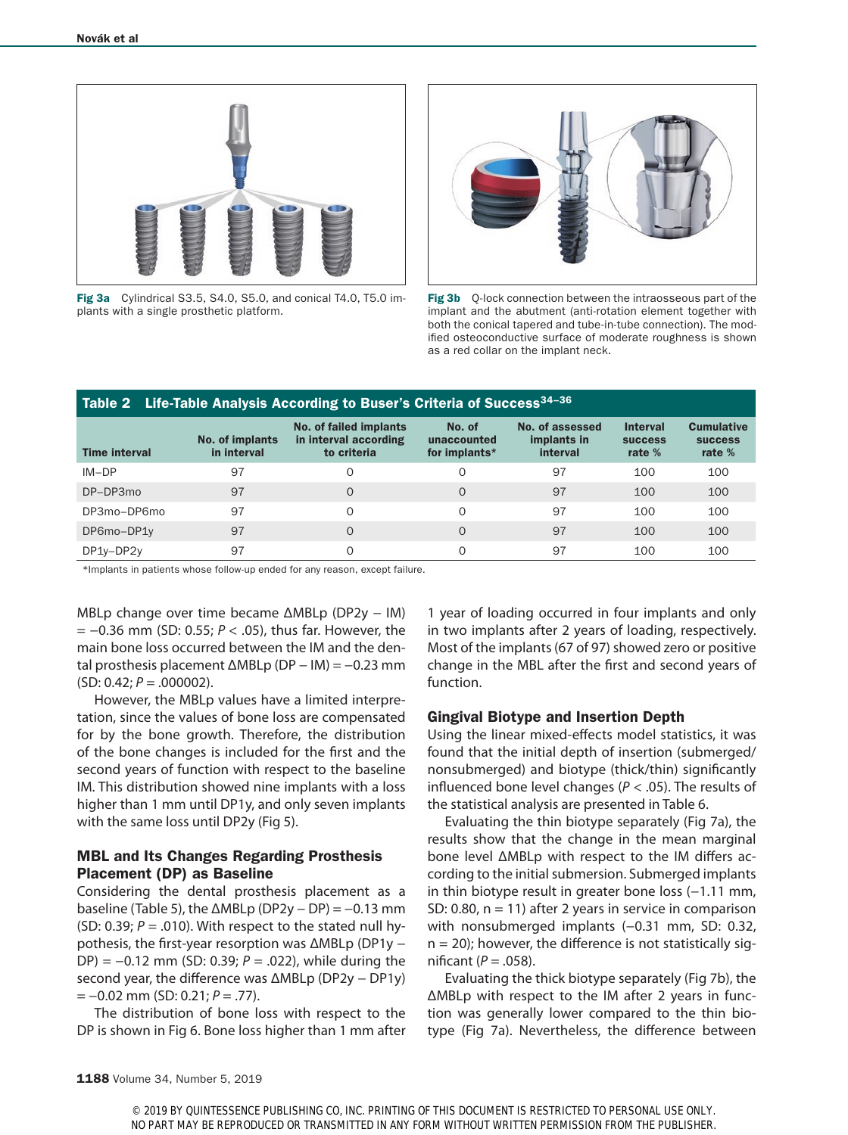

Fig 3a Cylindrical S3.5, S4.0, S5.0, and conical T4.0, T5.0 implants with a single prosthetic platform.



Fig 3b Q-lock connection between the intraosseous part of the implant and the abutment (anti-rotation element together with both the conical tapered and tube-in-tube connection). The modified osteoconductive surface of moderate roughness is shown as a red collar on the implant neck.

| Table 2 Life-Table Analysis According to Buser's Criteria of Success <sup>34-36</sup> |                                |                                                                |                                        |                                            |                                               |                                                 |  |  |  |
|---------------------------------------------------------------------------------------|--------------------------------|----------------------------------------------------------------|----------------------------------------|--------------------------------------------|-----------------------------------------------|-------------------------------------------------|--|--|--|
| <b>Time interval</b>                                                                  | No. of implants<br>in interval | No. of failed implants<br>in interval according<br>to criteria | No. of<br>unaccounted<br>for implants* | No. of assessed<br>implants in<br>interval | <b>Interval</b><br><b>SUCCESS</b><br>rate $%$ | <b>Cumulative</b><br><b>SUCCESS</b><br>rate $%$ |  |  |  |
| $IM-DP$                                                                               | 97                             | O                                                              | $\Omega$                               | 97                                         | 100                                           | 100                                             |  |  |  |
| $DP-DP3mo$                                                                            | 97                             | $\Omega$                                                       | $\Omega$                               | 97                                         | 100                                           | 100                                             |  |  |  |
| DP3mo-DP6mo                                                                           | 97                             | $\Omega$                                                       | $\Omega$                               | 97                                         | 100                                           | 100                                             |  |  |  |
| DP6mo-DP1y                                                                            | 97                             | $\Omega$                                                       | $\Omega$                               | 97                                         | 100                                           | 100                                             |  |  |  |
| DP1y-DP2y                                                                             | 97                             | $\Omega$                                                       | $\Omega$                               | 97                                         | 100                                           | 100                                             |  |  |  |

\*Implants in patients whose follow-up ended for any reason, except failure.

MBLp change over time became ΔMBLp (DP2y – IM) = −0.36 mm (SD: 0.55; *P* < .05), thus far. However, the main bone loss occurred between the IM and the dental prosthesis placement ΔMBLp (DP − IM) = −0.23 mm  $(SD: 0.42; P=.000002).$ 

However, the MBLp values have a limited interpretation, since the values of bone loss are compensated for by the bone growth. Therefore, the distribution of the bone changes is included for the first and the second years of function with respect to the baseline IM. This distribution showed nine implants with a loss higher than 1 mm until DP1y, and only seven implants with the same loss until DP2y (Fig 5).

# MBL and Its Changes Regarding Prosthesis Placement (DP) as Baseline

Considering the dental prosthesis placement as a baseline (Table 5), the  $\triangle$ MBLp (DP2y – DP) = -0.13 mm (SD: 0.39;  $P = .010$ ). With respect to the stated null hypothesis, the first-year resorption was ΔMBLp (DP1y − DP) = −0.12 mm (SD: 0.39; *P* = .022), while during the second year, the difference was ΔMBLp (DP2y - DP1y) = −0.02 mm (SD: 0.21; *P* = .77).

The distribution of bone loss with respect to the DP is shown in Fig 6. Bone loss higher than 1 mm after 1 year of loading occurred in four implants and only in two implants after 2 years of loading, respectively. Most of the implants (67 of 97) showed zero or positive change in the MBL after the first and second years of function.

# Gingival Biotype and Insertion Depth

Using the linear mixed-effects model statistics, it was found that the initial depth of insertion (submerged/ nonsubmerged) and biotype (thick/thin) significantly influenced bone level changes (*P* < .05). The results of the statistical analysis are presented in Table 6.

Evaluating the thin biotype separately (Fig 7a), the results show that the change in the mean marginal bone level ΔMBLp with respect to the IM differs according to the initial submersion. Submerged implants in thin biotype result in greater bone loss (−1.11 mm, SD: 0.80,  $n = 11$ ) after 2 years in service in comparison with nonsubmerged implants (-0.31 mm, SD: 0.32,  $n = 20$ ; however, the difference is not statistically significant  $(P = .058)$ .

Evaluating the thick biotype separately (Fig 7b), the ΔMBLp with respect to the IM after 2 years in function was generally lower compared to the thin biotype (Fig 7a). Nevertheless, the difference between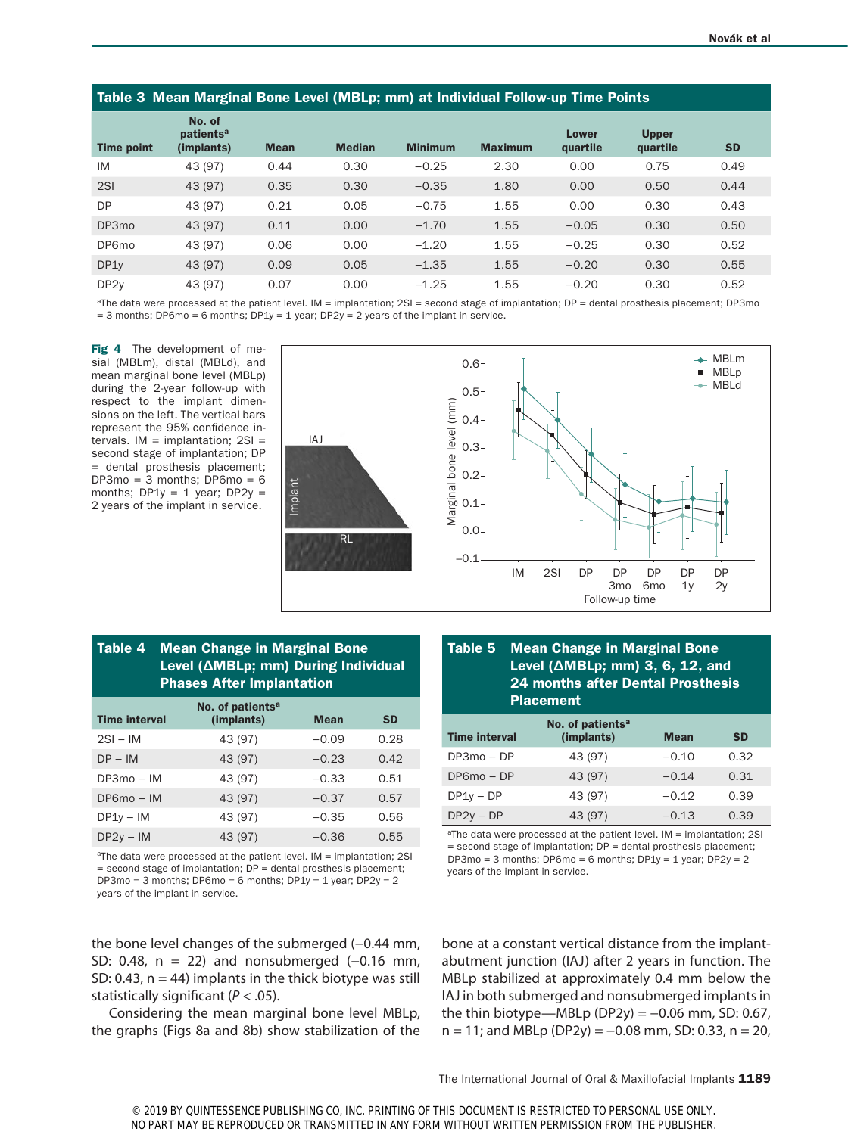| Table 3 Mean Marginal Bone Level (MBLp; mm) at Individual Follow-up Time Points |                                               |             |               |                |                |                          |                          |           |
|---------------------------------------------------------------------------------|-----------------------------------------------|-------------|---------------|----------------|----------------|--------------------------|--------------------------|-----------|
| <b>Time point</b>                                                               | No. of<br>patients <sup>a</sup><br>(implants) | <b>Mean</b> | <b>Median</b> | <b>Minimum</b> | <b>Maximum</b> | <b>Lower</b><br>quartile | <b>Upper</b><br>quartile | <b>SD</b> |
| IM                                                                              | 43 (97)                                       | 0.44        | 0.30          | $-0.25$        | 2.30           | 0.00                     | 0.75                     | 0.49      |
| 2S1                                                                             | 43 (97)                                       | 0.35        | 0.30          | $-0.35$        | 1.80           | 0.00                     | 0.50                     | 0.44      |
| <b>DP</b>                                                                       | 43 (97)                                       | 0.21        | 0.05          | $-0.75$        | 1.55           | 0.00                     | 0.30                     | 0.43      |
| DP3mo                                                                           | 43 (97)                                       | 0.11        | 0.00          | $-1.70$        | 1.55           | $-0.05$                  | 0.30                     | 0.50      |
| DP6mo                                                                           | 43 (97)                                       | 0.06        | 0.00          | $-1.20$        | 1.55           | $-0.25$                  | 0.30                     | 0.52      |
| DP1y                                                                            | 43 (97)                                       | 0.09        | 0.05          | $-1.35$        | 1.55           | $-0.20$                  | 0.30                     | 0.55      |
| DP <sub>2</sub> y                                                               | 43 (97)                                       | 0.07        | 0.00          | $-1.25$        | 1.55           | $-0.20$                  | 0.30                     | 0.52      |

aThe data were processed at the patient level. IM = implantation; 2SI = second stage of implantation; DP = dental prosthesis placement; DP3mo  $=$  3 months; DP6mo  $=$  6 months; DP1y  $=$  1 year; DP2y  $=$  2 years of the implant in service.

Fig 4 The development of mesial (MBLm), distal (MBLd), and mean marginal bone level (MBLp) during the 2-year follow-up with respect to the implant dimensions on the left. The vertical bars represent the 95% confidence intervals.  $IM = implementation$ ; 2SI = second stage of implantation; DP = dental prosthesis placement;  $DP3mo = 3 months$ ;  $DP6mo = 6$ months;  $DP1y = 1$  year;  $DP2y =$ 2 years of the implant in service.



# Table 4 Mean Change in Marginal Bone Level (ΔMBLp; mm) During Individual Phases After Implantation

| <b>Time interval</b> | No. of patients <sup>a</sup><br>(implants) | <b>Mean</b> | <b>SD</b> |
|----------------------|--------------------------------------------|-------------|-----------|
| $2SI - IM$           | 43 (97)                                    | $-0.09$     | 0.28      |
| $DP - IM$            | 43 (97)                                    | $-0.23$     | 0.42      |
| $DP3mo - IM$         | 43 (97)                                    | $-0.33$     | 0.51      |
| $DP6mo - IM$         | 43 (97)                                    | $-0.37$     | 0.57      |
| $DP1v - IM$          | 43 (97)                                    | $-0.35$     | 0.56      |
| $DP2v - IM$          | 43 (97)                                    | $-0.36$     | 0.55      |

aThe data were processed at the patient level. IM = implantation; 2SI = second stage of implantation; DP = dental prosthesis placement;  $DP3mo = 3 months$ ;  $DP6mo = 6 months$ ;  $DP1y = 1$  year;  $DP2y = 2$ years of the implant in service.

# Table 5 Mean Change in Marginal Bone Level (ΔMBLp; mm) 3, 6, 12, and 24 months after Dental Prosthesis Placement

| <b>Time interval</b> | No. of patients <sup>a</sup><br>(implants) | <b>Mean</b> | <b>SD</b> |
|----------------------|--------------------------------------------|-------------|-----------|
| $DP3mo - DP$         | 43 (97)                                    | $-0.10$     | 0.32      |
| $DP6mo - DP$         | 43 (97)                                    | $-0.14$     | 0.31      |
| $DP1y - DP$          | 43 (97)                                    | $-0.12$     | 0.39      |
| $DP2v - DP$          | 43 (97)                                    | $-0.13$     | 0.39      |

aThe data were processed at the patient level. IM = implantation; 2SI  $=$  second stage of implantation;  $DP =$  dental prosthesis placement;  $DP3mo = 3$  months;  $DP6mo = 6$  months;  $DP1y = 1$  year;  $DP2y = 2$ years of the implant in service.

the bone level changes of the submerged (-0.44 mm, SD: 0.48, n = 22) and nonsubmerged (-0.16 mm, SD: 0.43,  $n = 44$ ) implants in the thick biotype was still statistically significant (*P* < .05).

Considering the mean marginal bone level MBLp, the graphs (Figs 8a and 8b) show stabilization of the bone at a constant vertical distance from the implantabutment junction (IAJ) after 2 years in function. The MBLp stabilized at approximately 0.4 mm below the IAJ in both submerged and nonsubmerged implants in the thin biotype—MBLp (DP2y) =  $-0.06$  mm, SD: 0.67,  $n = 11$ ; and MBLp (DP2y) = -0.08 mm, SD: 0.33, n = 20,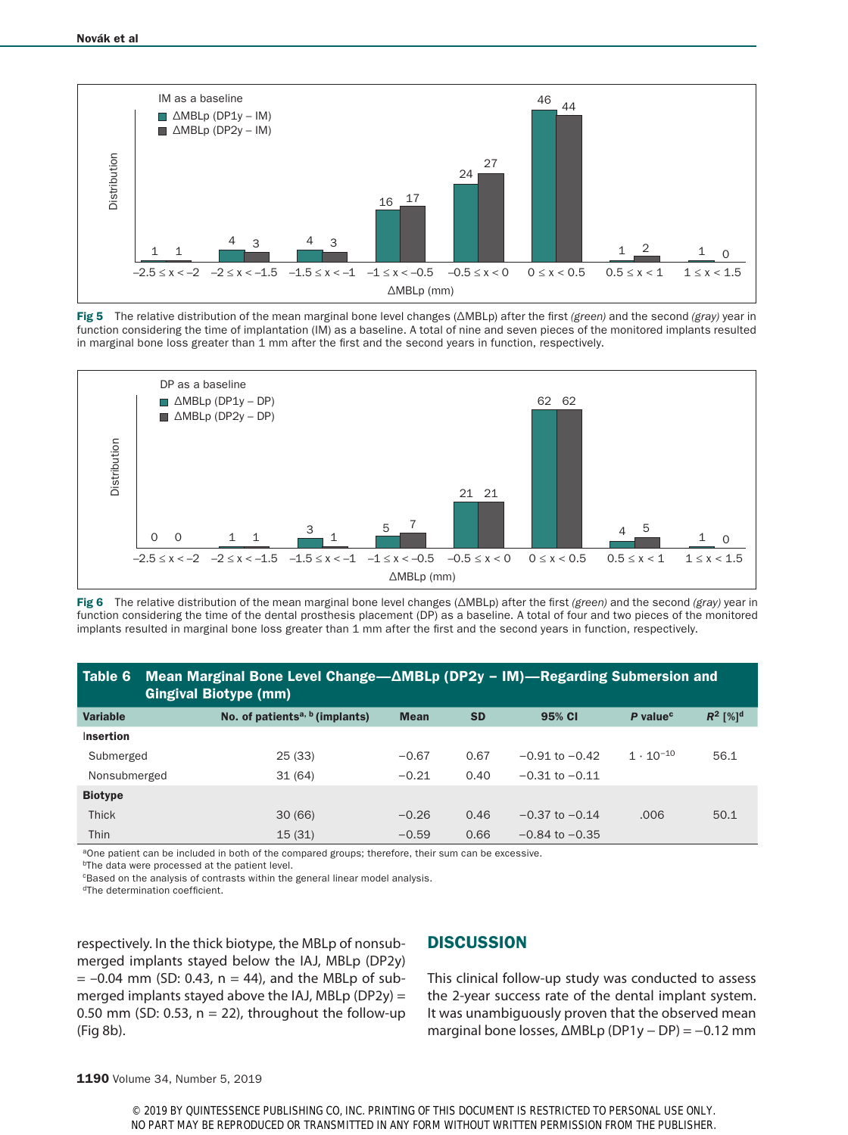

Fig 5 The relative distribution of the mean marginal bone level changes (∆MBLp) after the first *(green)* and the second *(gray)* year in function considering the time of implantation (IM) as a baseline. A total of nine and seven pieces of the monitored implants resulted in marginal bone loss greater than 1 mm after the first and the second years in function, respectively.



Fig 6 The relative distribution of the mean marginal bone level changes (∆MBLp) after the first *(green)* and the second *(gray)* year in function considering the time of the dental prosthesis placement (DP) as a baseline. A total of four and two pieces of the monitored implants resulted in marginal bone loss greater than 1 mm after the first and the second years in function, respectively.

## Table 6 Mean Marginal Bone Level Change—ΔMBLp (DP2y − IM)—Regarding Submersion and Gingival Biotype (mm)

| <b>Variable</b> | No. of patients <sup>a, b</sup> (implants) | <b>Mean</b> | <b>SD</b> | 95% CI             | P value <sup>c</sup> | $R^2$ [%] <sup>d</sup> |
|-----------------|--------------------------------------------|-------------|-----------|--------------------|----------------------|------------------------|
| Insertion       |                                            |             |           |                    |                      |                        |
| Submerged       | 25(33)                                     | $-0.67$     | 0.67      | $-0.91$ to $-0.42$ | $1 \cdot 10^{-10}$   | 56.1                   |
| Nonsubmerged    | 31(64)                                     | $-0.21$     | 0.40      | $-0.31$ to $-0.11$ |                      |                        |
| <b>Biotype</b>  |                                            |             |           |                    |                      |                        |
| <b>Thick</b>    | 30(66)                                     | $-0.26$     | 0.46      | $-0.37$ to $-0.14$ | .006                 | 50.1                   |
| Thin            | 15(31)                                     | $-0.59$     | 0.66      | $-0.84$ to $-0.35$ |                      |                        |

aOne patient can be included in both of the compared groups; therefore, their sum can be excessive.

<sup>b</sup>The data were processed at the patient level.

**CBased on the analysis of contrasts within the general linear model analysis.** 

dThe determination coefficient.

respectively. In the thick biotype, the MBLp of nonsubmerged implants stayed below the IAJ, MBLp (DP2y)  $= -0.04$  mm (SD: 0.43, n = 44), and the MBLp of submerged implants stayed above the IAJ, MBLp (DP2y) = 0.50 mm (SD: 0.53,  $n = 22$ ), throughout the follow-up (Fig 8b).

# **DISCUSSION**

This clinical follow-up study was conducted to assess the 2-year success rate of the dental implant system. It was unambiguously proven that the observed mean marginal bone losses, ΔMBLp (DP1y − DP) = −0.12 mm

1190 Volume 34, Number 5, 2019

© 2019 BY QUINTESSENCE PUBLISHING CO, INC. PRINTING OF THIS DOCUMENT IS RESTRICTED TO PERSONAL USE ONLY. NO PART MAY BE REPRODUCED OR TRANSMITTED IN ANY FORM WITHOUT WRITTEN PERMISSION FROM THE PUBLISHER.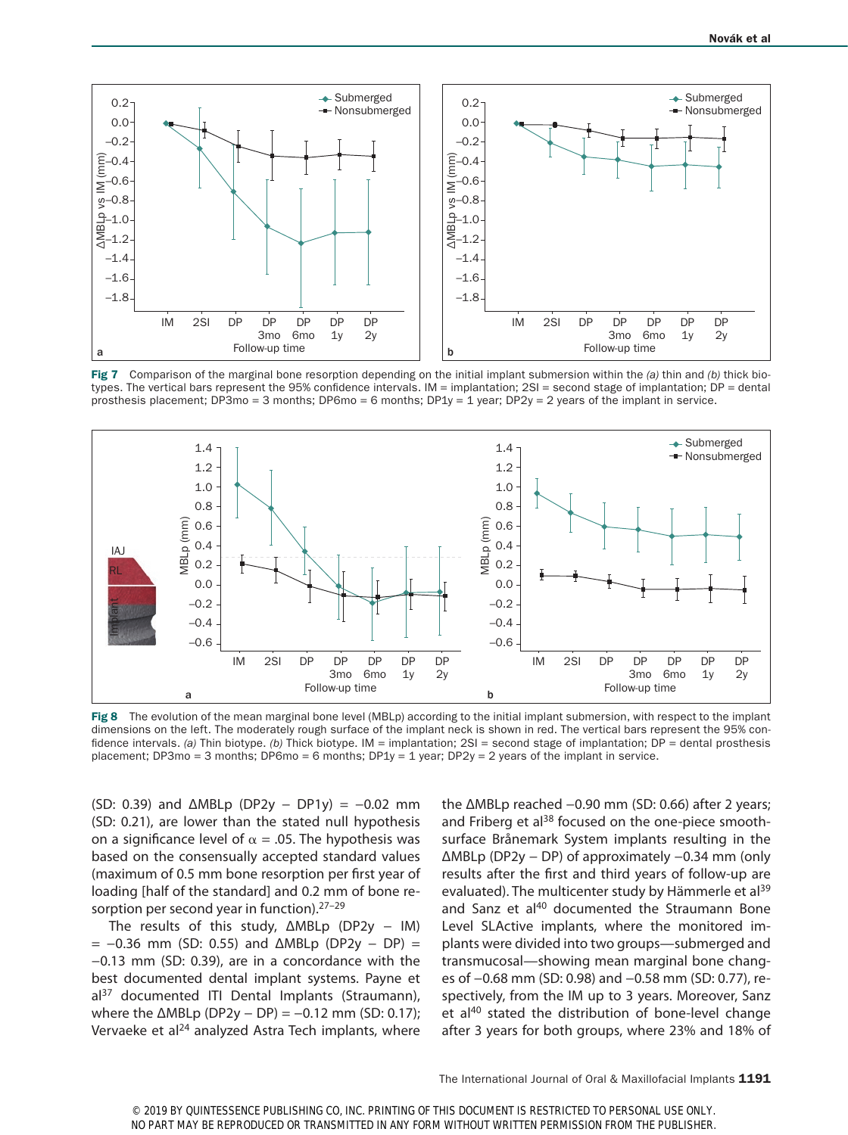

Fig 7 Comparison of the marginal bone resorption depending on the initial implant submersion within the *(a)* thin and *(b)* thick biotypes. The vertical bars represent the 95% confidence intervals. IM = implantation; 2SI = second stage of implantation; DP = dental prosthesis placement; DP3mo = 3 months; DP6mo = 6 months; DP1y = 1 year; DP2y = 2 years of the implant in service.



Fig 8 The evolution of the mean marginal bone level (MBLp) according to the initial implant submersion, with respect to the implant dimensions on the left. The moderately rough surface of the implant neck is shown in red. The vertical bars represent the 95% confidence intervals. *(a)* Thin biotype. *(b)* Thick biotype. IM = implantation; 2SI = second stage of implantation; DP = dental prosthesis placement; DP3mo = 3 months; DP6mo = 6 months; DP1y = 1 year; DP2y = 2 years of the implant in service.

(SD: 0.39) and ΔMBLp (DP2y − DP1y) = −0.02 mm (SD: 0.21), are lower than the stated null hypothesis on a significance level of  $\alpha$  = .05. The hypothesis was based on the consensually accepted standard values (maximum of 0.5 mm bone resorption per first year of loading [half of the standard] and 0.2 mm of bone resorption per second year in function).<sup>27-29</sup>

The results of this study, ΔMBLp (DP2y - IM)  $= -0.36$  mm (SD: 0.55) and  $\triangle MBLp$  (DP2y – DP) = −0.13 mm (SD: 0.39), are in a concordance with the best documented dental implant systems. Payne et al<sup>37</sup> documented ITI Dental Implants (Straumann), where the  $\triangle \text{MBLp}$  (DP2y − DP) = -0.12 mm (SD: 0.17); Vervaeke et al<sup>24</sup> analyzed Astra Tech implants, where

the ΔMBLp reached −0.90 mm (SD: 0.66) after 2 years; and Friberg et al<sup>38</sup> focused on the one-piece smoothsurface Brånemark System implants resulting in the ΔMBLp (DP2y − DP) of approximately −0.34 mm (only results after the first and third years of follow-up are evaluated). The multicenter study by Hämmerle et al<sup>39</sup> and Sanz et al<sup>40</sup> documented the Straumann Bone Level SLActive implants, where the monitored implants were divided into two groups—submerged and transmucosal—showing mean marginal bone changes of −0.68 mm (SD: 0.98) and −0.58 mm (SD: 0.77), respectively, from the IM up to 3 years. Moreover, Sanz et al<sup>40</sup> stated the distribution of bone-level change after 3 years for both groups, where 23% and 18% of

The International Journal of Oral & Maxillofacial Implants 1191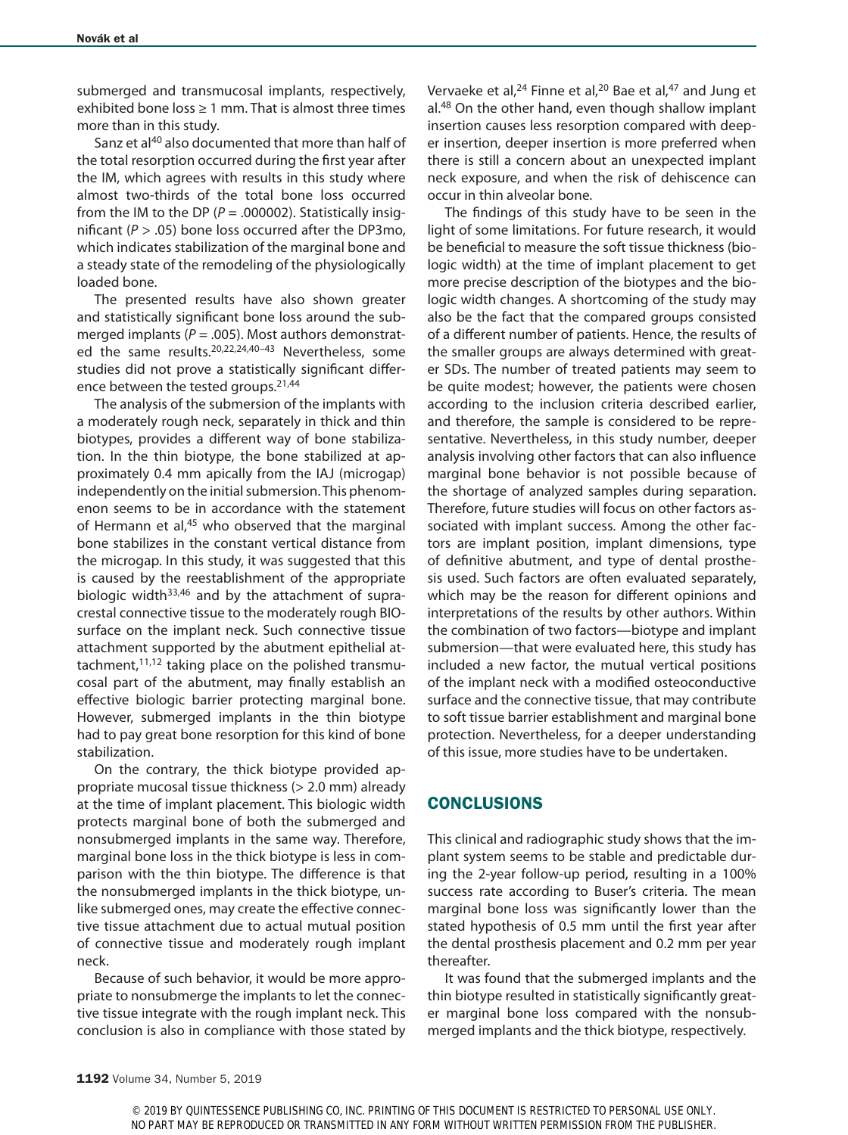submerged and transmucosal implants, respectively, exhibited bone loss  $\geq 1$  mm. That is almost three times more than in this study.

Sanz et al<sup>40</sup> also documented that more than half of the total resorption occurred during the first year after the IM, which agrees with results in this study where almost two-thirds of the total bone loss occurred from the IM to the DP  $(P = .000002)$ . Statistically insignificant (*P* > .05) bone loss occurred after the DP3mo, which indicates stabilization of the marginal bone and a steady state of the remodeling of the physiologically loaded bone.

The presented results have also shown greater and statistically significant bone loss around the submerged implants ( $P = .005$ ). Most authors demonstrated the same results.<sup>20,22,24,40-43</sup> Nevertheless, some studies did not prove a statistically significant difference between the tested groups.<sup>21,44</sup>

The analysis of the submersion of the implants with a moderately rough neck, separately in thick and thin biotypes, provides a different way of bone stabilization. In the thin biotype, the bone stabilized at approximately 0.4 mm apically from the IAJ (microgap) independently on the initial submersion. This phenomenon seems to be in accordance with the statement of Hermann et al.<sup>45</sup> who observed that the marginal bone stabilizes in the constant vertical distance from the microgap. In this study, it was suggested that this is caused by the reestablishment of the appropriate biologic width $33,46$  and by the attachment of supracrestal connective tissue to the moderately rough BIOsurface on the implant neck. Such connective tissue attachment supported by the abutment epithelial attachment, $11,12$  taking place on the polished transmucosal part of the abutment, may finally establish an effective biologic barrier protecting marginal bone. However, submerged implants in the thin biotype had to pay great bone resorption for this kind of bone stabilization.

On the contrary, the thick biotype provided appropriate mucosal tissue thickness (> 2.0 mm) already at the time of implant placement. This biologic width protects marginal bone of both the submerged and nonsubmerged implants in the same way. Therefore, marginal bone loss in the thick biotype is less in comparison with the thin biotype. The difference is that the nonsubmerged implants in the thick biotype, unlike submerged ones, may create the effective connective tissue attachment due to actual mutual position of connective tissue and moderately rough implant neck.

Because of such behavior, it would be more appropriate to nonsubmerge the implants to let the connective tissue integrate with the rough implant neck. This conclusion is also in compliance with those stated by Vervaeke et al,<sup>24</sup> Finne et al,<sup>20</sup> Bae et al,<sup>47</sup> and Jung et al.48 On the other hand, even though shallow implant insertion causes less resorption compared with deeper insertion, deeper insertion is more preferred when there is still a concern about an unexpected implant neck exposure, and when the risk of dehiscence can occur in thin alveolar bone.

The findings of this study have to be seen in the light of some limitations. For future research, it would be beneficial to measure the soft tissue thickness (biologic width) at the time of implant placement to get more precise description of the biotypes and the biologic width changes. A shortcoming of the study may also be the fact that the compared groups consisted of a different number of patients. Hence, the results of the smaller groups are always determined with greater SDs. The number of treated patients may seem to be quite modest; however, the patients were chosen according to the inclusion criteria described earlier, and therefore, the sample is considered to be representative. Nevertheless, in this study number, deeper analysis involving other factors that can also influence marginal bone behavior is not possible because of the shortage of analyzed samples during separation. Therefore, future studies will focus on other factors associated with implant success. Among the other factors are implant position, implant dimensions, type of definitive abutment, and type of dental prosthesis used. Such factors are often evaluated separately, which may be the reason for different opinions and interpretations of the results by other authors. Within the combination of two factors—biotype and implant submersion—that were evaluated here, this study has included a new factor, the mutual vertical positions of the implant neck with a modified osteoconductive surface and the connective tissue, that may contribute to soft tissue barrier establishment and marginal bone protection. Nevertheless, for a deeper understanding of this issue, more studies have to be undertaken.

# **CONCLUSIONS**

This clinical and radiographic study shows that the implant system seems to be stable and predictable during the 2-year follow-up period, resulting in a 100% success rate according to Buser's criteria. The mean marginal bone loss was significantly lower than the stated hypothesis of 0.5 mm until the first year after the dental prosthesis placement and 0.2 mm per year thereafter.

It was found that the submerged implants and the thin biotype resulted in statistically significantly greater marginal bone loss compared with the nonsubmerged implants and the thick biotype, respectively.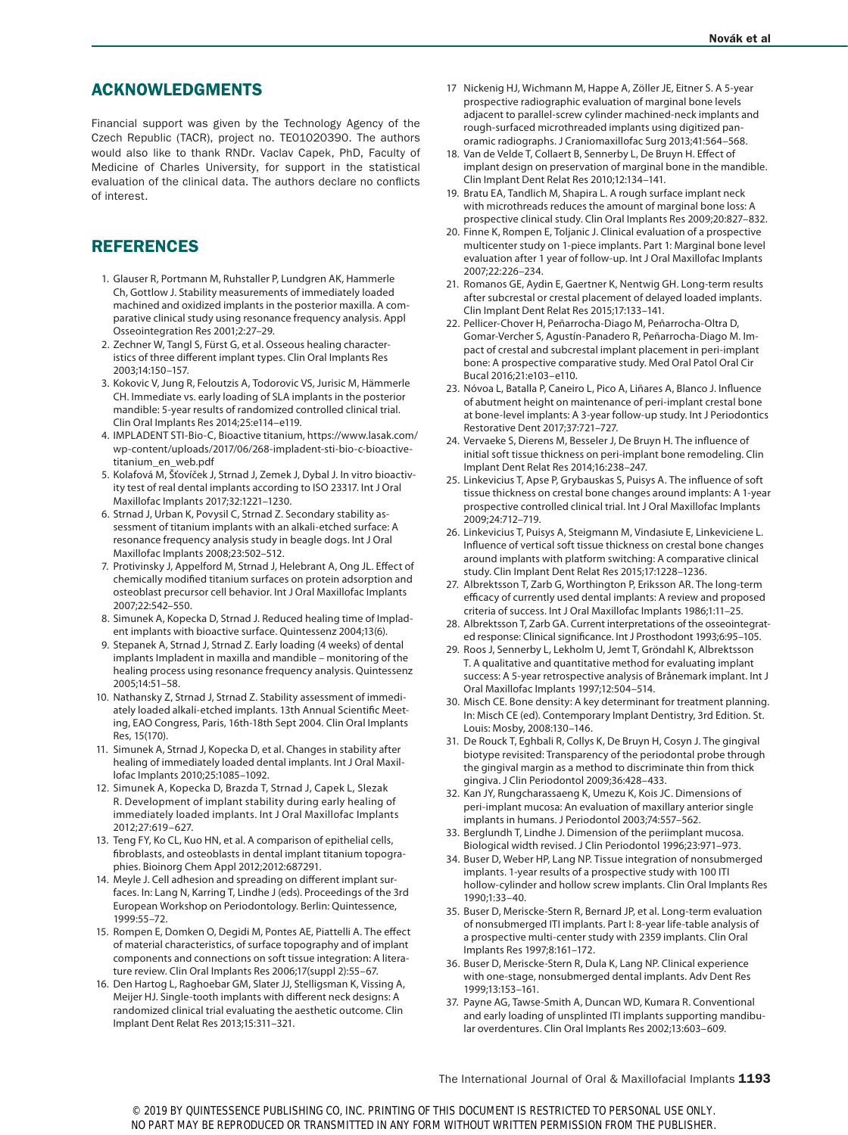# ACKNOWLEDGMENTS

Financial support was given by the Technology Agency of the Czech Republic (TACR), project no. TE01020390. The authors would also like to thank RNDr. Vaclav Capek, PhD, Faculty of Medicine of Charles University, for support in the statistical evaluation of the clinical data. The authors declare no conflicts of interest.

# REFERENCES

- 1. Glauser R, Portmann M, Ruhstaller P, Lundgren AK, Hammerle Ch, Gottlow J. Stability measurements of immediately loaded machined and oxidized implants in the posterior maxilla. A comparative clinical study using resonance frequency analysis. Appl Osseointegration Res 2001;2:27–29.
- 2. Zechner W, Tangl S, Fürst G, et al. Osseous healing characteristics of three different implant types. Clin Oral Implants Res 2003;14:150–157.
- 3. Kokovic V, Jung R, Feloutzis A, Todorovic VS, Jurisic M, Hämmerle CH. Immediate vs. early loading of SLA implants in the posterior mandible: 5-year results of randomized controlled clinical trial. Clin Oral Implants Res 2014;25:e114–e119.
- 4. IMPLADENT STI-Bio-C, Bioactive titanium, https://www.lasak.com/ wp-content/uploads/2017/06/268-impladent-sti-bio-c-bioactivetitanium\_en\_web.pdf
- 5. Kolafová M, Šťovíček J, Strnad J, Zemek J, Dybal J. In vitro bioactivity test of real dental implants according to ISO 23317. Int J Oral Maxillofac Implants 2017;32:1221–1230.
- 6. Strnad J, Urban K, Povysil C, Strnad Z. Secondary stability assessment of titanium implants with an alkali-etched surface: A resonance frequency analysis study in beagle dogs. Int J Oral Maxillofac Implants 2008;23:502–512.
- 7. Protivinsky J, Appelford M, Strnad J, Helebrant A, Ong JL. Effect of chemically modified titanium surfaces on protein adsorption and osteoblast precursor cell behavior. Int J Oral Maxillofac Implants 2007;22:542–550.
- 8. Simunek A, Kopecka D, Strnad J. Reduced healing time of Impladent implants with bioactive surface. Quintessenz 2004;13(6).
- 9. Stepanek A, Strnad J, Strnad Z. Early loading (4 weeks) of dental implants Impladent in maxilla and mandible – monitoring of the healing process using resonance frequency analysis. Quintessenz 2005;14:51–58.
- 10. Nathansky Z, Strnad J, Strnad Z. Stability assessment of immediately loaded alkali-etched implants. 13th Annual Scientific Meeting, EAO Congress, Paris, 16th-18th Sept 2004. Clin Oral Implants Res, 15(170).
- 11. Simunek A, Strnad J, Kopecka D, et al. Changes in stability after healing of immediately loaded dental implants. Int J Oral Maxillofac Implants 2010;25:1085–1092.
- 12. Simunek A, Kopecka D, Brazda T, Strnad J, Capek L, Slezak R. Development of implant stability during early healing of immediately loaded implants. Int J Oral Maxillofac Implants 2012;27:619–627.
- 13. Teng FY, Ko CL, Kuo HN, et al. A comparison of epithelial cells, fibroblasts, and osteoblasts in dental implant titanium topographies. Bioinorg Chem Appl 2012;2012:687291.
- 14. Meyle J. Cell adhesion and spreading on different implant surfaces. In: Lang N, Karring T, Lindhe J (eds). Proceedings of the 3rd European Workshop on Periodontology. Berlin: Quintessence, 1999:55–72.
- 15. Rompen E, Domken O, Degidi M, Pontes AE, Piattelli A. The effect of material characteristics, of surface topography and of implant components and connections on soft tissue integration: A literature review. Clin Oral Implants Res 2006;17(suppl 2):55–67.
- 16. Den Hartog L, Raghoebar GM, Slater JJ, Stelligsman K, Vissing A, Meijer HJ. Single-tooth implants with different neck designs: A randomized clinical trial evaluating the aesthetic outcome. Clin Implant Dent Relat Res 2013;15:311–321.
- 17 Nickenig HJ, Wichmann M, Happe A, Zöller JE, Eitner S. A 5-year prospective radiographic evaluation of marginal bone levels adjacent to parallel-screw cylinder machined-neck implants and rough-surfaced microthreaded implants using digitized panoramic radiographs. J Craniomaxillofac Surg 2013;41:564–568.
- 18. Van de Velde T, Collaert B, Sennerby L, De Bruyn H. Effect of implant design on preservation of marginal bone in the mandible. Clin Implant Dent Relat Res 2010;12:134–141.
- 19. Bratu EA, Tandlich M, Shapira L. A rough surface implant neck with microthreads reduces the amount of marginal bone loss: A prospective clinical study. Clin Oral Implants Res 2009;20:827–832.
- 20. Finne K, Rompen E, Toljanic J. Clinical evaluation of a prospective multicenter study on 1-piece implants. Part 1: Marginal bone level evaluation after 1 year of follow-up. Int J Oral Maxillofac Implants 2007;22:226–234.
- 21. Romanos GE, Aydin E, Gaertner K, Nentwig GH. Long-term results after subcrestal or crestal placement of delayed loaded implants. Clin Implant Dent Relat Res 2015;17:133–141.
- 22. Pellicer-Chover H, Peñarrocha-Diago M, Peñarrocha-Oltra D, Gomar-Vercher S, Agustín-Panadero R, Peñarrocha-Diago M. Impact of crestal and subcrestal implant placement in peri-implant bone: A prospective comparative study. Med Oral Patol Oral Cir Bucal 2016;21:e103–e110.
- 23. Nóvoa L, Batalla P, Caneiro L, Pico A, Liñares A, Blanco J. Influence of abutment height on maintenance of peri-implant crestal bone at bone-level implants: A 3-year follow-up study. Int J Periodontics Restorative Dent 2017;37:721–727.
- 24. Vervaeke S, Dierens M, Besseler J, De Bruyn H. The influence of initial soft tissue thickness on peri-implant bone remodeling. Clin Implant Dent Relat Res 2014;16:238–247.
- 25. Linkevicius T, Apse P, Grybauskas S, Puisys A. The influence of soft tissue thickness on crestal bone changes around implants: A 1-year prospective controlled clinical trial. Int J Oral Maxillofac Implants 2009;24:712–719.
- 26. Linkevicius T, Puisys A, Steigmann M, Vindasiute E, Linkeviciene L. Influence of vertical soft tissue thickness on crestal bone changes around implants with platform switching: A comparative clinical study. Clin Implant Dent Relat Res 2015;17:1228–1236.
- 27. Albrektsson T, Zarb G, Worthington P, Eriksson AR. The long-term efficacy of currently used dental implants: A review and proposed criteria of success. Int J Oral Maxillofac Implants 1986;1:11–25.
- 28. Albrektsson T, Zarb GA. Current interpretations of the osseointegrated response: Clinical significance. Int J Prosthodont 1993;6:95–105.
- 29. Roos J, Sennerby L, Lekholm U, Jemt T, Gröndahl K, Albrektsson T. A qualitative and quantitative method for evaluating implant success: A 5-year retrospective analysis of Brånemark implant. Int J Oral Maxillofac Implants 1997;12:504–514.
- 30. Misch CE. Bone density: A key determinant for treatment planning. In: Misch CE (ed). Contemporary Implant Dentistry, 3rd Edition. St. Louis: Mosby, 2008:130–146.
- 31. De Rouck T, Eghbali R, Collys K, De Bruyn H, Cosyn J. The gingival biotype revisited: Transparency of the periodontal probe through the gingival margin as a method to discriminate thin from thick gingiva. J Clin Periodontol 2009;36:428–433.
- 32. Kan JY, Rungcharassaeng K, Umezu K, Kois JC. Dimensions of peri-implant mucosa: An evaluation of maxillary anterior single implants in humans. J Periodontol 2003;74:557–562.
- 33. Berglundh T, Lindhe J. Dimension of the periimplant mucosa. Biological width revised. J Clin Periodontol 1996;23:971–973.
- 34. Buser D, Weber HP, Lang NP. Tissue integration of nonsubmerged implants. 1-year results of a prospective study with 100 ITI hollow-cylinder and hollow screw implants. Clin Oral Implants Res 1990;1:33–40.
- 35. Buser D, Meriscke-Stern R, Bernard JP, et al. Long-term evaluation of nonsubmerged ITI implants. Part I: 8-year life-table analysis of a prospective multi-center study with 2359 implants. Clin Oral Implants Res 1997;8:161–172.
- 36. Buser D, Meriscke-Stern R, Dula K, Lang NP. Clinical experience with one-stage, nonsubmerged dental implants. Adv Dent Res 1999;13:153–161.
- 37. Payne AG, Tawse-Smith A, Duncan WD, Kumara R. Conventional and early loading of unsplinted ITI implants supporting mandibular overdentures. Clin Oral Implants Res 2002;13:603–609.

The International Journal of Oral & Maxillofacial Implants 1193